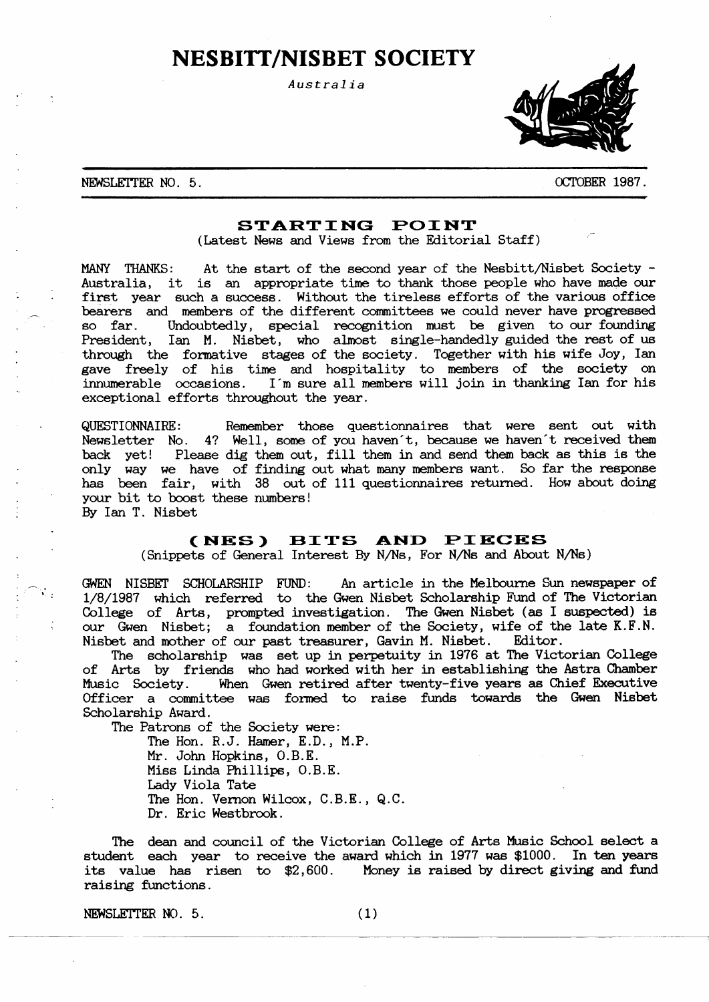# **NESBITT/NISBET SOCIETY**

Australia



#### NEWSLETTER NO. 5.

OCTOBER 1987.

## STARTING POINT

(Latest News and Views from the Editorial Staff)

MANY THANKS: At the start of the second year of the Nesbitt/Nisbet Society -Australia, it is an appropriate time to thank those people who have made our first year such a success. Without the tireless efforts of the various office bearers and members of the different committees we could never have progressed Undoubtedly, special recognition must be given to our founding so far. President, Ian M. Nisbet, who almost single-handedly guided the rest of us<br>through the formative stages of the society. Together with his wife Joy, Ian gave freely of his time and hospitality to members of the society on innumerable occasions. I'm sure all members will join in thanking Ian for his exceptional efforts throughout the year.

QUESTIONNAIRE: Remember those questionnaires that were sent out with Newsletter No. 4? Well, some of you haven't, because we haven't received them back yet! Please dig them out, fill them in and send them back as this is the only way we have of finding out what many members want. So far the response has been fair, with 38 out of 111 questionnaires returned. How about doing your bit to boost these numbers! By Ian T. Nisbet

# (NES) BITS AND PIECES

(Snippets of General Interest By N/Ns, For N/Ns and About N/Ns)

GWEN NISBET SCHOLARSHIP FUND: An article in the Melbourne Sun newspaper of 1/8/1987 which referred to the Gwen Nisbet Scholarship Fund of The Victorian College of Arts, prompted investigation. The Gwen Nisbet (as I suspected) is our Gwen Nisbet; a foundation member of the Society, wife of the late K.F.N. Nisbet and mother of our past treasurer, Gavin M. Nisbet. Editor.

The scholarship was set up in perpetuity in 1976 at The Victorian College of Arts by friends who had worked with her in establishing the Astra Chamber Music Society. When Gwen retired after twenty-five years as Chief Executive Officer a committee was formed to raise funds towards the Gwen Nisbet Scholarship Award.

The Patrons of the Society were:

The Hon. R.J. Hamer, E.D., M.P. Mr. John Hopkins, O.B.E. Miss Linda Phillips, O.B.E. Lady Viola Tate The Hon. Vernon Wilcox, C.B.E., Q.C. Dr. Eric Westbrook.

The dean and council of the Victorian College of Arts Music School select a student each year to receive the award which in 1977 was \$1000. In ten years its value has risen to \$2,600. Money is raised by direct giving and fund raising functions.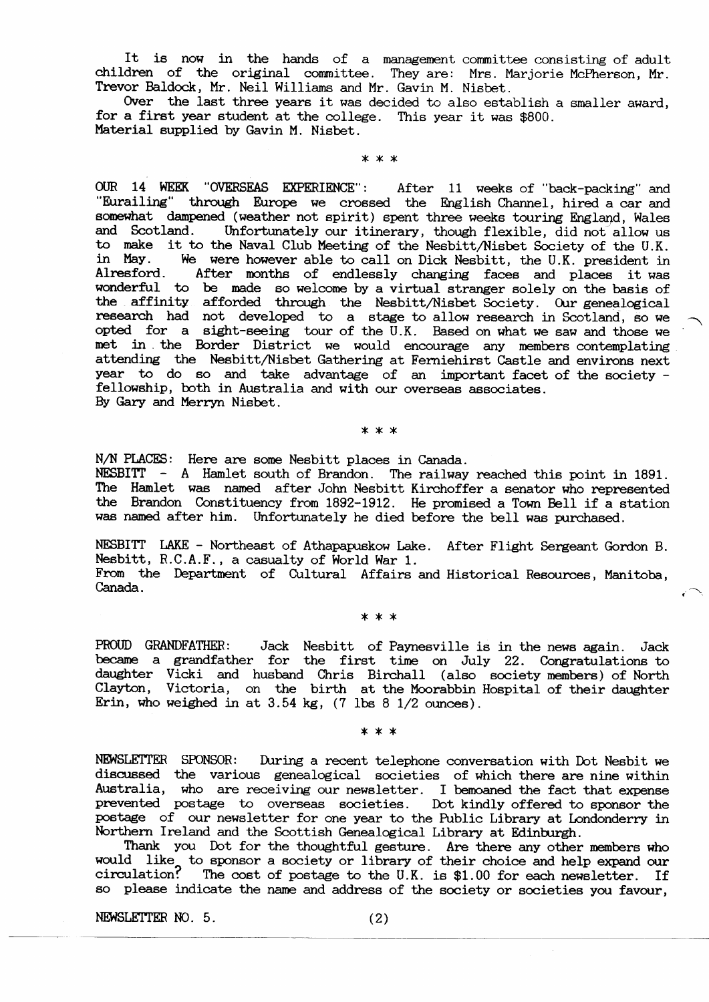It is now in the hands of a management committee consisting of adult children of the original committee. They are: Mrs. Marjorie McPherson, Mr. Trevor Baldock, Mr. Neil Williams and Mr. Gavin M. Nisbet.

Over the last three years it was decided to also establish a smaller award, for a first year student at the college. This year it was \$800. Material supplied by Gavin M. Nisbet.

\* \* \*

OUR 14 WEEK "OVERSEAS EXPERIENCE": After 11 weeks of "back-packing" and "Eurailing" through Europe we crossed the English Channel, hired a car and somewhat dampened (weather not spirit) spent three weeks touring England, Wales and Scotland. Unfortunately our itinerary, though flexible, did not allow us to make it to the Naval Club Meeting of the Nesbitt/Nisbet Society of the U.K. in May. We were however able to call on Dick Nesbitt, the U.K. president in After months of endlessly changing faces and places it was Alresford. wonderful to be made so welcome by a virtual stranger solely on the basis of the affinity afforded through the Nesbitt/Nisbet Society. Our genealogical research had not developed to a stage to allow research in Scotland, so we opted for a sight-seeing tour of the U.K. Based on what we saw and those we met in the Border District we would encourage any members contemplating attending the Nesbitt/Nisbet Gathering at Ferniehirst Castle and environs next year to do so and take advantage of an important facet of the society fellowship, both in Australia and with our overseas associates. By Gary and Merryn Nisbet.

#### \* \* \*

N/N PLACES: Here are some Nesbitt places in Canada. NESBITT - A Hamlet south of Brandon. The railway reached this point in 1891. The Hamlet was named after John Nesbitt Kirchoffer a senator who represented the Brandon Constituency from 1892-1912. He promised a Town Bell if a station was named after him. Unfortunately he died before the bell was purchased.

NESBITT LAKE - Northeast of Athapapuskow Lake. After Flight Sergeant Gordon B. Nesbitt, R.C.A.F., a casualty of World War 1. From the Department of Cultural Affairs and Historical Resources, Manitoba,

Canada.

\* \* \*

PROUD GRANDFATHER: Jack Nesbitt of Paynesville is in the news again. Jack became a grandfather for the first time on July 22. Congratulations to daughter Vicki and husband Chris Birchall (also society members) of North Clayton, Victoria, on the birth at the Moorabbin Hospital of their daughter Erin, who weighed in at  $3.54$  kg,  $(7 \text{ lbs } 8 \text{ 1/2 ounces}).$ 

\* \* \*

NEWSLETTER SPONSOR: During a recent telephone conversation with Dot Nesbit we discussed the various genealogical societies of which there are nine within Australia, who are receiving our newsletter. I be moaned the fact that expense prevented postage to overseas societies. Dot kindly offered to sponsor the postage of our newsletter for one year to the Public Library at Londonderry in Northern Ireland and the Scottish Genealogical Library at Edinburgh.

Thank you Dot for the thoughtful gesture. Are there any other members who would like to sponsor a society or library of their choice and help expand our circulation? The cost of postage to the U.K. is \$1.00 for each newsletter. If so please indicate the name and address of the society or societies you favour,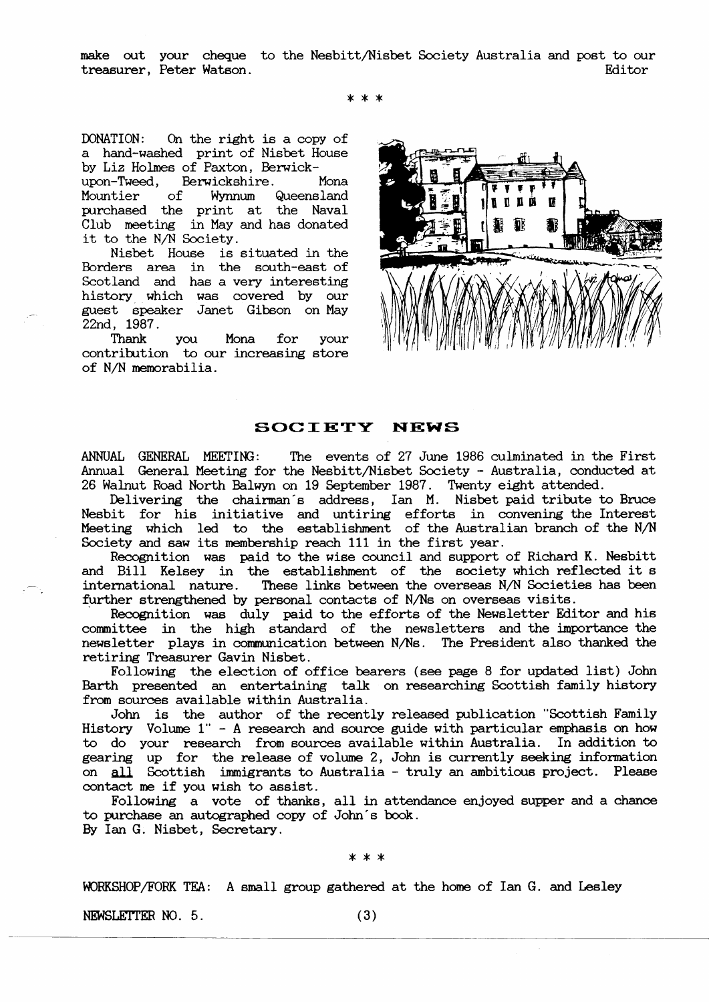make out your cheque to the Nesbitt/Nisbet Society Australia and post to our treasurer, Peter Watson. Editor

\*\*\*

DONATION: On the right is a copy of a hand-washed print of Nisbet House by Liz Holmes of Paxton, Berwick-

upon-Tweed, Berwickshire. Mona<br>Mountier of Wynnum Queensland Mountier of Wynnum Queensland purchased the print at the Naval Club meeting in May and has donated it to the N/N Society.

Nisbet House is situated in the Borders area in the south-east of Scotland and has a very interesting history which was covered by our gue6t speaker Janet Glbson on May 22nd, 1987.

Thank you Mona for your contribution to our increasing store of N/N memorabilia.



# SOCIETY NEWS

ANNUAL GENERAL MEETING: The events of 27 June 1986 culminated in the First Annual General Meeting for the Nesbitt/Nisbet Society - Australia, conducted at 26 Walnut Road North Balwyn on 19 September 1987. Twenty eight attended.

Delivering the chairman's address, Ian M. Nisbet-paid-tribute-to-Bruce Nesbit for his initiative and untiring efforts in convening the Interest Meeting which led to the establishment of the Australian branch of the N/N Society and saw its membership reach 111 in the first year.

Recognition was paid to the wise council and support of Richard K. Nesbitt and Bill Kelsey in the establishment of the society which reflected it s international nature. These links between the overseas N/N Societies has been further strengthened by personal contacts of N/Ns on overseas visits.

Recognition was duly paid to the efforts of the Newsletter Editor and his committee in the high standard of the newsletters and the importance the newsletter plays in communication between N/Ns. The President also thanked the retiring Treasurer Gavin Nisbet.

Following the election of office bearers (see page 8 for updated list) John Barth presented an entertaining talk on researching Scottish family history from sources available within Australia.

Sources available within Australia.<br>John is the author of the recently released publication "Scottish Family History Volume 1" - A research and source guide with particular emphasis on how to do your research from sources available within Australia. In addition to gearing up for the release of volume 2, John is currently seeking information on all Scottish immigrants to Australia - truly an ambitious project. Please contact me if you wish to assist

Following a vote of thanks, all in attendance enjoyed supper and a chance to purchase an autographed copy of John's book. By Ian G. Nisbet, Secretary.

x\*x

WORKSHOP/FORK TEA: A small group gathered at the home of Ian G. and Lesley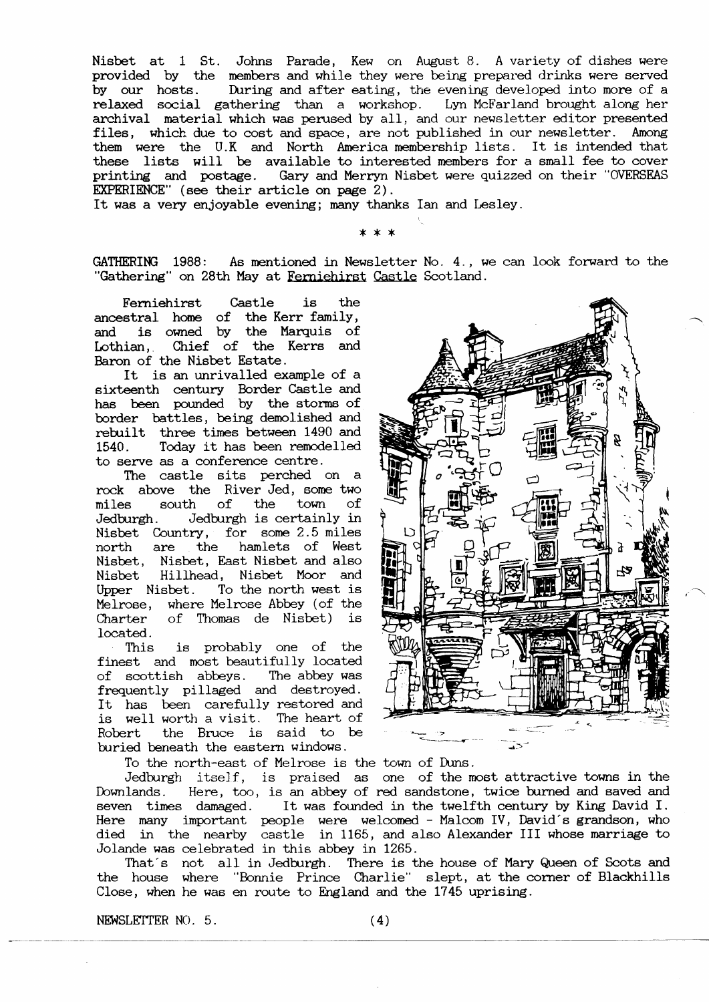Nisbet at 1 St. Johns Parade, Kew on August 8. A variety of dishes were provided by the members and while they were being prepared drinks were served by our hosts. During and after eating, the evening developed into more of a relaxed social gathering than a workshop. Lyn McFarland brought along her archival material which was perused by all, and our newsletter editor presented files, which due to cost and space, are not published in our newsletter. Among them were the U.K and North America membership lists. It is intended that these lists will be available to interested members for a small fee to cover printing and postage. Gary and Merryn Nisbet were quizzed on their "OVERSEAS EKPERIENCE" (6ee their article on page 2).

It was a very enjoyable evening; many thanks Ian and Lesley.

GATHERING 1988: As mentioned in Newsletter No. 4., we can look forward to the "Gathering" on 28th May at Ferniehirst Castle Scotland.

\*\*x(

Ferniehirst Castle is the ancestral hone of the Kerr family, and is owned by the Marquis of Lothian, Chief of the Kerrs and Baron of the Nisbet Estate.

It is an unrivalled example of a sixteenth century Border Castle and has been powrded by the storms of border battles, being demolished and rebuilt three times between 1490 and 1540. Today it has been remodelled to serve as a conference centre.

The castle sits perched on a rock above the River Jed, 6ome two miles south of the town of Jedburgh. Jedburgh is certainly in Nisbet Country, for some 2.5 miles north are the hamlets of West Nisbet, Nisbet, East Nisbet and also Nisbet Hillhead, Nisbet Moor and Upper Nisbet. To the north west is Melrose, where Melrose Abbey (of the Charter of Thomas de Nisbet) is Iocated.

This is probably one of the finest and most beautifully located of scottish abbeys. The abbey was frequently pillaged and destroyed. It has been carefully restored and is well worth a visit. The heart of Robert the Bmce is said to be buried beneath the eastern windows.

To the north-east of Melrose is the town of Duns.

Jedburgh itself, is praised as one of the most attractive towns in the Downlands. Here, too, is an abbey of red sandstone, twice burned and saved and seven times damaged. It was founded in the twelfth century by King David I. Here many important people were welcomed - Malcom IV, David's grandson, who died in the nearby castle in 1165, and also Alexander III whose marriage to Jolande was celebrated in this abbey jn L265.

That's not all in Jedburgh. There is the house of Mary Queen of Scots and the house where "Bonnie Prince Char1ie" slept, at the corner of Blackhills Close, when he was en route to England and the 1745 uprising.

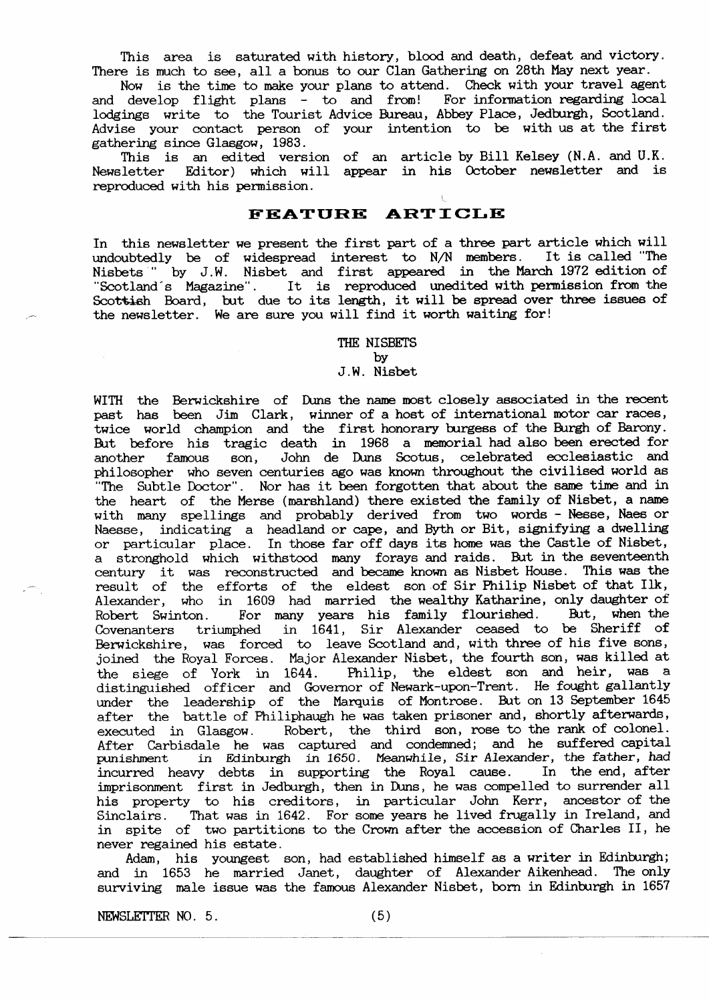This area is saturated with history, blood and death, defeat and victory. There is much to see, all a bonus to our Clan Gathering on 28th May next year.

Now is the time to make your plans to attend. Check with your travel agent and develop flight plans - to and from! For information regarding local lodgings write to the Tourist Advice Bureau, Abbey Place, Jedburgh, Scotland. Advise your eontact person of your intention to be with us at the first gathering since Glasgow, 1983.

This is an edited version of an article by Bill Kelsey (N.A. and U.K. Newsletter Editor) which will appear in his October newsletter and is reproduced with his permission.

## FEATURE ARTICLE

In this newsletter we present the first part of a three part article which will undoubtedly be of widespread interest to N/N members. It is called "The Nisbets " by J.W. Nisbet and first appeared in the March 1972 edition of Misbets " by J.W. Nisbet and first appeared in the March 1972 edition of "Scotland's Magazine". It is reproduced unedited with permission from the Scottish Board, but due to its length, it will be spread over three issues of the newsletter. We are sure you will find it worth waiting for!

> THE NISBETS by J.W. Nisbet

WITH the Berwickshire of Duns the name most closely associated in the recent past has been Jim Clark, winner of a host of international motor car races twice world champion and the first honorary burgess of the Burgh of Barony. Btt before his tragic death in 1968 a memorial had also been erected for another famous son, John de Duns Scotus, celebrated ecclesiastic and philosopher who seven centuries ago was known throughout the civilised world as "The Subtle Doctor". Nor has it been forgotten that about the same time and in the heart of the Merse (marshland) there existed the family of Nisbet, a name with many spellings and probably derived from two words - Nesse, Naes or Naesse, indicating a headland or cape, and Byth or Bit, signifying a dwelling or particular place. In those far off days its home was the Castle of Nisbet, a stronghold which withstood many forays and raids. But in the seventeenth century it was reconstructed and became known as Nisbet House. This was the result of the efforts of the eldest son of Sir Philip Nisbet of that llk, Alexander, who in 1609 had married the wealthy Katharine, only daughter of Robert Swinton. For many years his family flourished. But, when the Covenanters triunphed in 1641, Sir Alexander ceased to be Sheriff of Berwickshire, was forced to leave Scotland and, with three of his five sons, joined the Royal Forces. Major Alexander Nisbet, the fourth son, was killed at the siege of York in 1644. Philip, the eldest son and heir, was a distinguished officer and Governor of Newark-upon-Trent. He fought gallantly under the leadership of the Marquis of Montrose. But on 13 September 1645 after the battle of Philiphaugh he was taken prisoner and, shortly afterwards executed in Glasgow. Robert, the third son, rose to the rank of colonel. After Carbisdale he was captured and condemned; and he suffered capita punishment in Edinburgh in 1650. Meanwhile, Sir Alexander, the father, had incurred heavy debts in supporting the Royal cause. In the end, after imprisonment first in Jedburgh, then in Duns, he was compelled to surrender all his property to his creditors, in particular John Kerr, ancestor of the Sinclairs. That was in 1642. For some years he lived frugally in Ireland, and in spite of two partitions to the Crown after the accession of Charles II, he never regained his estate.

Adam, his youngest son, had established himself as a writer in Edinburgh; and in 1653 he married Janet, daughter of Alexander Aikenhead. The only surviving male issue was the famous Alexander Nisbet, born in Edinburgh in 1657

NEWSLETTER NO.  $5.$  (5)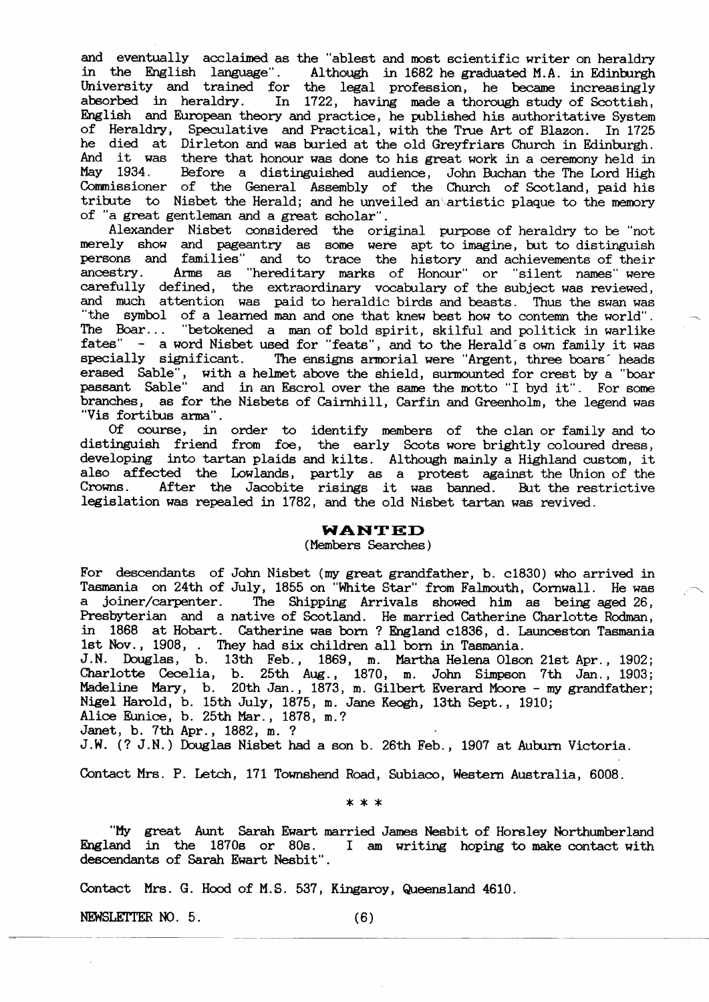and eventually acclaimed as the "ablest and most scientific writer on heraldry in the English language". Although in 1682 he graduated M.A. in Edinburg University and trained for the legal profession, he became increasing absorbed in heraldry. In 1722, having made a thorough study of Scottish, English and European theory and practice, he published his authoritative System of Heraldry, Speculative and Practical, with the True Art of Blazon. In 1725 he died at Dirleton and was buried at the old Greyfriars Church in Edinburgh. And it was there that honour was done to his great work in a ceremony held in May 1934. Before a distinguished audience, John Buchan the The Lord High Commissioner of the General Assembly of the Church of Scotland, paid him tribute to Nisbet the Herald; and he unveiled an artistic plaque to the memory of "a great gentleman and a great scholar".

Alexander Nisbet considered the original purpose of heraldry to be "not merely show and pageantry as some were apt to imagine, but to distinguished and pageantry as some were apt to imagine, but to distinguish persons and families" and to trace the history and achievements of their<br>ancestry. Arms as "hereditary marks of Honour" or "silent names" were carefully defined, the extraordinary vocabulary of the subject was reviewed and much attention wa6 paid to heraldic birds and beasts. Thus the swan was "the symbol of a learned man and one that knew best how to contemn the world". Ihe Boar... "betokened a man of bold spirit, skilful and politick in warlike fates" - a word Nisbet used for "feats", and to the Herald's own family it was specially significant. The ensigns armorial were "Argent, three boars' heads eraeed Sable", with a heLmet above the shield, surmounted for erest by a "boar passant Sable" and in an Escrol over the same the motto "I byd it". For some branches, as for the Nisbets of Cairnhill, Carfin and Greenholm, the legend was "Vis fortibus arma".

Of course, in order to identify members of the clan or family and to distinguish friend from foe, the early Scots wore brightly coloured dress, developing into tartan plaids and kilts. Although mainly a Highland custom, it aleo affected the lowlands, partly a6 a protest against the Union of the Crowns. After the Jacobite risings it was banned. But the restrict legislation was repealed in L782, and the o1d Nisbet tartan was revived.

### **WANTED**

#### (Members Searches)

For descendants of John Nisbet (my great grandfather, b. c1830) who arrived in Tasmania on 24th of July, 1855 on "White Star" from Falmouth, Cornwall. He was a joiner/carpenter. The Shipping Arrivals showed him as being aged 26, Presbyterian and a native of Scotland. He married Catherine Charlotte Rodman, in 1868 at Hobart. Catherine was born ? England c1836, d. Launceston Tasmania 1st Nov., 1908, . They had six children all born in Tasmania.

J.N. Douglas, b. 13th Feb., 1869, m. Martha Helena Olson 21st Apr., 1902; Charlotte Cecelia, b. 25th Aug., 1870, m. John Simpson 7th Jan., 1903; Madeline Mary, b. 20th Jan., 1873, m. Gilbert Everard Moore - my grandfather Nigel Harold, b. 15th July, 1875, m. Jane Keogh, 13th Sept., 1910;

Alice Eunice, b. 25th Mar., 1878, m.?

Janet, b. 7th Apr., 1882, m. ?

J.W. (? J.N.) Douglas Nisbet had a son b. 26th Feb., 1907 at Auburn Victoria.

Contact Mrs. P. Letch, 171 Townshend Road, Subiaco, Western Australia, 6008.

\*\*\*

"My great Aunt Sarah Ewart married James Nesbit of Horsley Northumberland<br>England in the 1870s or 80s. I am writing hoping to make contact with I am writing hoping to make contact with descendants of Sarah Ewart Nesbit".

Contact Mrs. G. Hood of M.S. 537, Kingaroy, Queensland 4610.

NEWSLETTER NO.  $5.$  (6)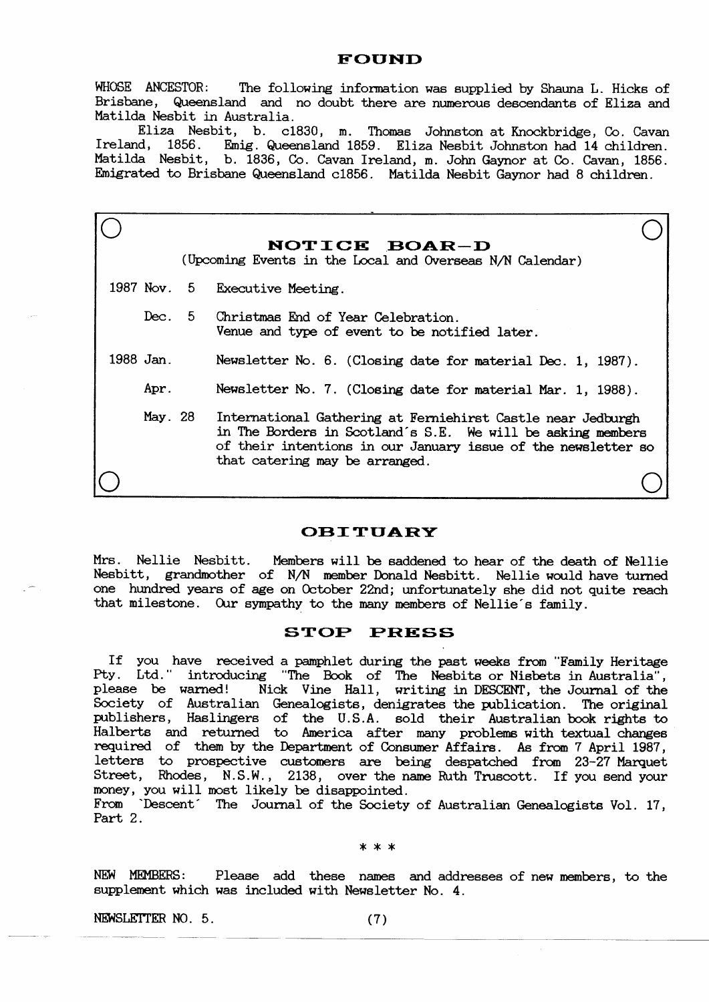#### FOUND

WHOSE ANCESTOR: The following information was supplied by Shauna L. Hicks of Brisbane, Queensland and no doubt there are numerous descendants of Eliza and Matilda Nesbit in Australia.

Eliza Nesbit, b. c1830, m. Thomas Johnston at Knockbridge, Co. Cavan<br>Ireland, 1856. Emig. Queensland 1859. Eliza Nesbit Johnston had 14 children. Emig. Queensland 1859. Eliza Nesbit Johnston had 14 children. Matilda Nesbit, b. 1836, Co. Cavan Ireland, m. John Gaynor at Co. Cavan, 1856. Emigrated to Brisbane Queensland c1856. Matilda Nesbit Gaynor had 8 children.

|           | NOTICE BOAR-D<br>(Upcoming Events in the Local and Overseas N/N Calendar)                                                                                                                                                     |
|-----------|-------------------------------------------------------------------------------------------------------------------------------------------------------------------------------------------------------------------------------|
|           | 1987 Nov. 5 Executive Meeting.                                                                                                                                                                                                |
|           | Dec. 5 Christmas End of Year Celebration.<br>Venue and type of event to be notified later.                                                                                                                                    |
| 1988 Jan. | Newsletter No. 6. (Closing date for material Dec. 1, 1987).                                                                                                                                                                   |
| Apr.      | Newsletter No. 7. (Closing date for material Mar. 1, 1988).                                                                                                                                                                   |
| May. 28   | International Gathering at Ferniehirst Castle near Jedburgh<br>in The Borders in Scotland's S.E. We will be asking members<br>of their intentions in our January issue of the newsletter so<br>that catering may be arranged. |
|           |                                                                                                                                                                                                                               |

# **OBITUARY**

Mrs. Nellie Nesbitt. Members will be saddened to hear of the death of Nellie Nesbitt, grandmother of N/N member Donald Nesbitt. Nellie would have turned one hundred years of age on October 22nd; unfortunately she did not quite reach that milestone. Our sympathy to the many members of Nellie's family.

### STOP PRESS

If you have received a pamphlet during the past weeks from "Family Heritage It you have received a pampiret during the past weeks from ramily heritage<br>Pty. Ltd." introducing "The Book of The Nesbits or Nisbets in Australia", please be warned! Nick Vine Hall, writing in DESCENT , the Journal of the Society of Australian Genealogists, denigrates the publication. The original publishers, Haslingers of the U.S.A. sold their Australian book rights to Halberts and returned to America after many problems with textual changes requined of them bv the Department of Consumer Affairs. As from 7 April 1987, letters to prospective customers are being despatched from 23-27 Marquet Street, Rhodes, N.S.W., 2138, over the name Ruth Truscott. If you send your money, Vou will nost likely be disappointed.

From 'Descent' The Journal of the Society of Australian Genealogists Vol. 17, Part 2.

\*\*\*

NEW MEMBERS: Please add these names and addresses of new members, to the supplement which was included with Newsletter No. 4.

 $NEWSLETTER NO. 5.$  (7)